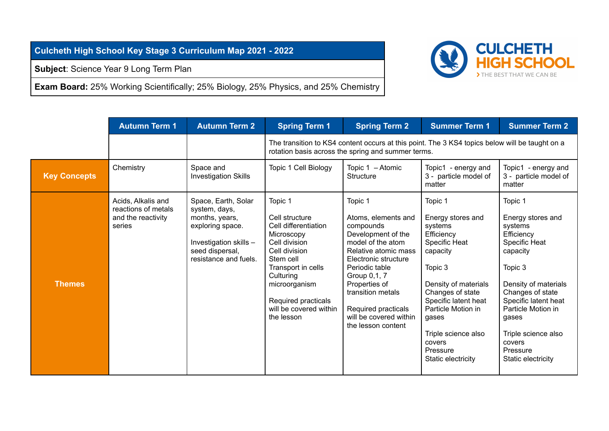**Culcheth High School Key Stage 3 Curriculum Map 2021 - 2022**

**Subject**: Science Year 9 Long Term Plan

**Exam Board:** 25% Working Scientifically; 25% Biology, 25% Physics, and 25% Chemistry



|                     | <b>Autumn Term 1</b>                                                      | <b>Autumn Term 2</b>                                                                                                                             | <b>Spring Term 1</b>                                                                                                                                                                                                              | <b>Spring Term 2</b>                                                                                                                                                                                                                                                                  | <b>Summer Term 1</b>                                                                                                                                                                                                                                                | <b>Summer Term 2</b>                                                                                                                                                                                                                                                |
|---------------------|---------------------------------------------------------------------------|--------------------------------------------------------------------------------------------------------------------------------------------------|-----------------------------------------------------------------------------------------------------------------------------------------------------------------------------------------------------------------------------------|---------------------------------------------------------------------------------------------------------------------------------------------------------------------------------------------------------------------------------------------------------------------------------------|---------------------------------------------------------------------------------------------------------------------------------------------------------------------------------------------------------------------------------------------------------------------|---------------------------------------------------------------------------------------------------------------------------------------------------------------------------------------------------------------------------------------------------------------------|
|                     |                                                                           |                                                                                                                                                  | The transition to KS4 content occurs at this point. The 3 KS4 topics below will be taught on a<br>rotation basis across the spring and summer terms.                                                                              |                                                                                                                                                                                                                                                                                       |                                                                                                                                                                                                                                                                     |                                                                                                                                                                                                                                                                     |
| <b>Key Concepts</b> | Chemistry                                                                 | Space and<br><b>Investigation Skills</b>                                                                                                         | Topic 1 Cell Biology                                                                                                                                                                                                              | Topic 1 - Atomic<br>Structure                                                                                                                                                                                                                                                         | Topic1 - energy and<br>3 - particle model of<br>matter                                                                                                                                                                                                              | Topic1 - energy and<br>3 - particle model of<br>matter                                                                                                                                                                                                              |
| <b>Themes</b>       | Acids, Alkalis and<br>reactions of metals<br>and the reactivity<br>series | Space, Earth, Solar<br>system, days,<br>months, years,<br>exploring space.<br>Investigation skills -<br>seed dispersal,<br>resistance and fuels. | Topic 1<br>Cell structure<br>Cell differentiation<br>Microscopy<br>Cell division<br>Cell division<br>Stem cell<br>Transport in cells<br>Culturing<br>microorganism<br>Required practicals<br>will be covered within<br>the lesson | Topic 1<br>Atoms, elements and<br>compounds<br>Development of the<br>model of the atom<br>Relative atomic mass<br>Electronic structure<br>Periodic table<br>Group 0,1, 7<br>Properties of<br>transition metals<br>Required practicals<br>will be covered within<br>the lesson content | Topic 1<br>Energy stores and<br>systems<br>Efficiency<br>Specific Heat<br>capacity<br>Topic 3<br>Density of materials<br>Changes of state<br>Specific latent heat<br>Particle Motion in<br>gases<br>Triple science also<br>covers<br>Pressure<br>Static electricity | Topic 1<br>Energy stores and<br>systems<br>Efficiency<br>Specific Heat<br>capacity<br>Topic 3<br>Density of materials<br>Changes of state<br>Specific latent heat<br>Particle Motion in<br>gases<br>Triple science also<br>covers<br>Pressure<br>Static electricity |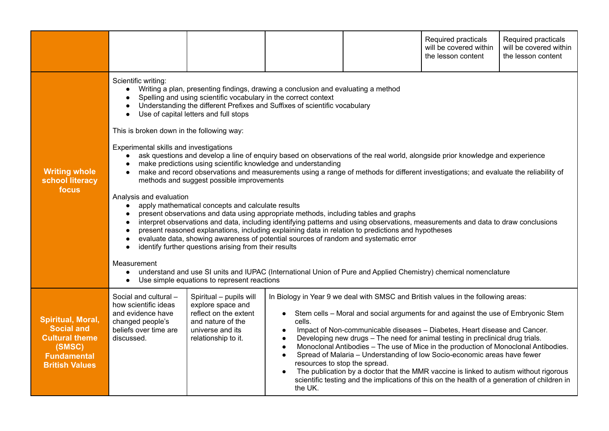|                                                                                                                          |                                                                                                                                                                                                                                                                                                                                                                                                                                                                                                                                                                                                                                                                                                                                                                                                                                                                                                                                                                                                                                                                                                                                                                                                                                                                                                                                                                                                                                                                                                                                                                                                                                  |                                                                                                                                       |                                                                                                                     |                                                                                                                                                                                                                                                                                                                                                                                                                                                                                                                                                                                                                                                                                                   | Required practicals<br>will be covered within<br>the lesson content | Required practicals<br>will be covered within<br>the lesson content |
|--------------------------------------------------------------------------------------------------------------------------|----------------------------------------------------------------------------------------------------------------------------------------------------------------------------------------------------------------------------------------------------------------------------------------------------------------------------------------------------------------------------------------------------------------------------------------------------------------------------------------------------------------------------------------------------------------------------------------------------------------------------------------------------------------------------------------------------------------------------------------------------------------------------------------------------------------------------------------------------------------------------------------------------------------------------------------------------------------------------------------------------------------------------------------------------------------------------------------------------------------------------------------------------------------------------------------------------------------------------------------------------------------------------------------------------------------------------------------------------------------------------------------------------------------------------------------------------------------------------------------------------------------------------------------------------------------------------------------------------------------------------------|---------------------------------------------------------------------------------------------------------------------------------------|---------------------------------------------------------------------------------------------------------------------|---------------------------------------------------------------------------------------------------------------------------------------------------------------------------------------------------------------------------------------------------------------------------------------------------------------------------------------------------------------------------------------------------------------------------------------------------------------------------------------------------------------------------------------------------------------------------------------------------------------------------------------------------------------------------------------------------|---------------------------------------------------------------------|---------------------------------------------------------------------|
| <b>Writing whole</b><br>school literacy<br>focus                                                                         | Scientific writing:<br>Writing a plan, presenting findings, drawing a conclusion and evaluating a method<br>$\bullet$<br>Spelling and using scientific vocabulary in the correct context<br>Understanding the different Prefixes and Suffixes of scientific vocabulary<br>Use of capital letters and full stops<br>This is broken down in the following way:<br>Experimental skills and investigations<br>ask questions and develop a line of enquiry based on observations of the real world, alongside prior knowledge and experience<br>$\bullet$<br>make predictions using scientific knowledge and understanding<br>make and record observations and measurements using a range of methods for different investigations; and evaluate the reliability of<br>$\bullet$<br>methods and suggest possible improvements<br>Analysis and evaluation<br>apply mathematical concepts and calculate results<br>$\bullet$<br>present observations and data using appropriate methods, including tables and graphs<br>interpret observations and data, including identifying patterns and using observations, measurements and data to draw conclusions<br>$\bullet$<br>present reasoned explanations, including explaining data in relation to predictions and hypotheses<br>evaluate data, showing awareness of potential sources of random and systematic error<br>identify further questions arising from their results<br>$\bullet$<br>Measurement<br>understand and use SI units and IUPAC (International Union of Pure and Applied Chemistry) chemical nomenclature<br>$\bullet$<br>Use simple equations to represent reactions |                                                                                                                                       |                                                                                                                     |                                                                                                                                                                                                                                                                                                                                                                                                                                                                                                                                                                                                                                                                                                   |                                                                     |                                                                     |
| Spiritual, Moral,<br><b>Social and</b><br><b>Cultural theme</b><br>(SMSC)<br><b>Fundamental</b><br><b>British Values</b> | Social and cultural -<br>how scientific ideas<br>and evidence have<br>changed people's<br>beliefs over time are<br>discussed.                                                                                                                                                                                                                                                                                                                                                                                                                                                                                                                                                                                                                                                                                                                                                                                                                                                                                                                                                                                                                                                                                                                                                                                                                                                                                                                                                                                                                                                                                                    | Spiritual - pupils will<br>explore space and<br>reflect on the extent<br>and nature of the<br>universe and its<br>relationship to it. | $\bullet$<br>cells.<br>$\bullet$<br>$\bullet$<br>$\bullet$<br>$\bullet$<br>resources to stop the spread.<br>the UK. | In Biology in Year 9 we deal with SMSC and British values in the following areas:<br>Stem cells – Moral and social arguments for and against the use of Embryonic Stem<br>Impact of Non-communicable diseases - Diabetes, Heart disease and Cancer.<br>Developing new drugs - The need for animal testing in preclinical drug trials.<br>Monoclonal Antibodies - The use of Mice in the production of Monoclonal Antibodies.<br>Spread of Malaria - Understanding of low Socio-economic areas have fewer<br>The publication by a doctor that the MMR vaccine is linked to autism without rigorous<br>scientific testing and the implications of this on the health of a generation of children in |                                                                     |                                                                     |